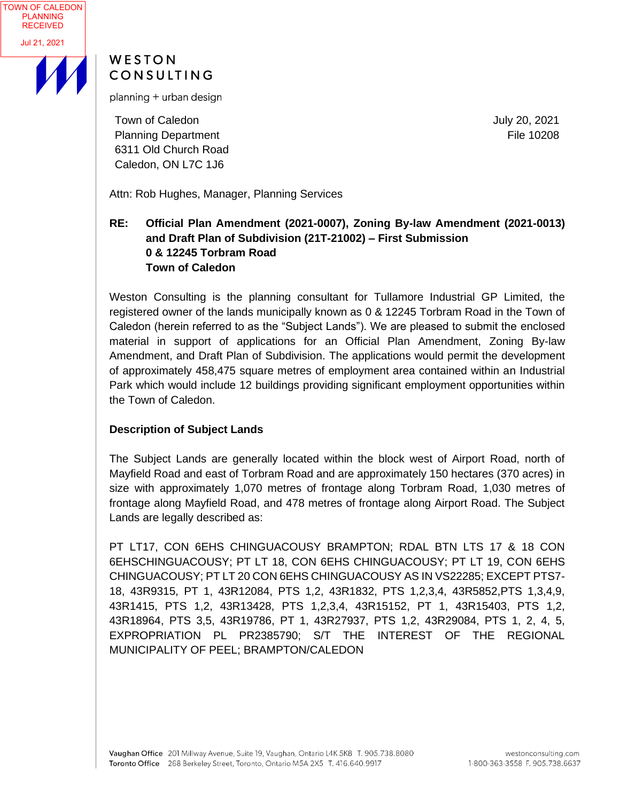

# WESTON CONSULTING

planning + urban design

Town of Caledon Planning Department 6311 Old Church Road Caledon, ON L7C 1J6

July 20, 2021 File 10208

Attn: Rob Hughes, Manager, Planning Services

# **RE: Official Plan Amendment (2021-0007), Zoning By-law Amendment (2021-0013) and Draft Plan of Subdivision (21T-21002) – First Submission 0 & 12245 Torbram Road Town of Caledon**

Weston Consulting is the planning consultant for Tullamore Industrial GP Limited, the registered owner of the lands municipally known as 0 & 12245 Torbram Road in the Town of Caledon (herein referred to as the "Subject Lands"). We are pleased to submit the enclosed material in support of applications for an Official Plan Amendment, Zoning By-law Amendment, and Draft Plan of Subdivision. The applications would permit the development of approximately 458,475 square metres of employment area contained within an Industrial Park which would include 12 buildings providing significant employment opportunities within the Town of Caledon.

## **Description of Subject Lands**

The Subject Lands are generally located within the block west of Airport Road, north of Mayfield Road and east of Torbram Road and are approximately 150 hectares (370 acres) in size with approximately 1,070 metres of frontage along Torbram Road, 1,030 metres of frontage along Mayfield Road, and 478 metres of frontage along Airport Road. The Subject Lands are legally described as:

PT LT17, CON 6EHS CHINGUACOUSY BRAMPTON; RDAL BTN LTS 17 & 18 CON 6EHSCHINGUACOUSY; PT LT 18, CON 6EHS CHINGUACOUSY; PT LT 19, CON 6EHS CHINGUACOUSY; PT LT 20 CON 6EHS CHINGUACOUSY AS IN VS22285; EXCEPT PTS7- 18, 43R9315, PT 1, 43R12084, PTS 1,2, 43R1832, PTS 1,2,3,4, 43R5852,PTS 1,3,4,9, 43R1415, PTS 1,2, 43R13428, PTS 1,2,3,4, 43R15152, PT 1, 43R15403, PTS 1,2, 43R18964, PTS 3,5, 43R19786, PT 1, 43R27937, PTS 1,2, 43R29084, PTS 1, 2, 4, 5, EXPROPRIATION PL PR2385790; S/T THE INTEREST OF THE REGIONAL MUNICIPALITY OF PEEL; BRAMPTON/CALEDON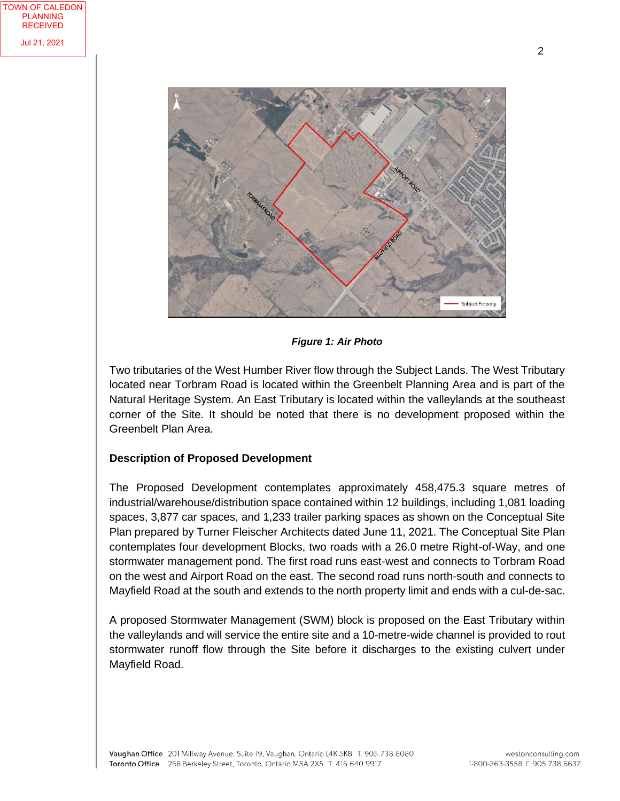

Subject Property

*Figure 1: Air Photo*

Two tributaries of the West Humber River flow through the Subject Lands. The West Tributary located near Torbram Road is located within the Greenbelt Planning Area and is part of the Natural Heritage System. An East Tributary is located within the valleylands at the southeast corner of the Site. It should be noted that there is no development proposed within the Greenbelt Plan Area.

## **Description of Proposed Development**

The Proposed Development contemplates approximately 458,475.3 square metres of industrial/warehouse/distribution space contained within 12 buildings, including 1,081 loading spaces, 3,877 car spaces, and 1,233 trailer parking spaces as shown on the Conceptual Site Plan prepared by Turner Fleischer Architects dated June 11, 2021. The Conceptual Site Plan contemplates four development Blocks, two roads with a 26.0 metre Right-of-Way, and one stormwater management pond. The first road runs east-west and connects to Torbram Road on the west and Airport Road on the east. The second road runs north-south and connects to Mayfield Road at the south and extends to the north property limit and ends with a cul-de-sac.

A proposed Stormwater Management (SWM) block is proposed on the East Tributary within the valleylands and will service the entire site and a 10-metre-wide channel is provided to rout stormwater runoff flow through the Site before it discharges to the existing culvert under Mayfield Road.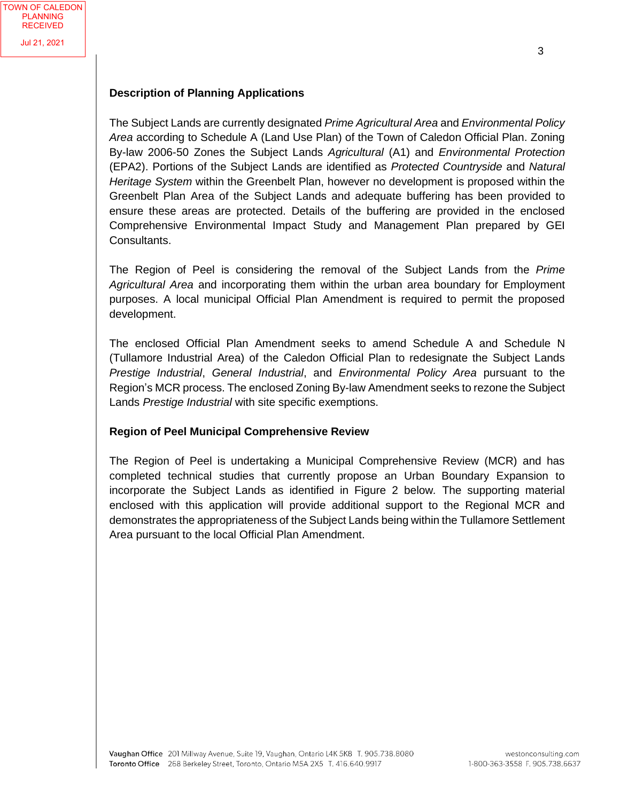#### **Description of Planning Applications**

The Subject Lands are currently designated *Prime Agricultural Area* and *Environmental Policy Area* according to Schedule A (Land Use Plan) of the Town of Caledon Official Plan. Zoning By-law 2006-50 Zones the Subject Lands *Agricultural* (A1) and *Environmental Protection* (EPA2). Portions of the Subject Lands are identified as *Protected Countryside* and *Natural Heritage System* within the Greenbelt Plan, however no development is proposed within the Greenbelt Plan Area of the Subject Lands and adequate buffering has been provided to ensure these areas are protected. Details of the buffering are provided in the enclosed Comprehensive Environmental Impact Study and Management Plan prepared by GEI Consultants.

The Region of Peel is considering the removal of the Subject Lands from the *Prime Agricultural Area* and incorporating them within the urban area boundary for Employment purposes. A local municipal Official Plan Amendment is required to permit the proposed development.

The enclosed Official Plan Amendment seeks to amend Schedule A and Schedule N (Tullamore Industrial Area) of the Caledon Official Plan to redesignate the Subject Lands *Prestige Industrial*, *General Industrial*, and *Environmental Policy Area* pursuant to the Region's MCR process. The enclosed Zoning By-law Amendment seeks to rezone the Subject Lands *Prestige Industrial* with site specific exemptions.

## **Region of Peel Municipal Comprehensive Review**

The Region of Peel is undertaking a Municipal Comprehensive Review (MCR) and has completed technical studies that currently propose an Urban Boundary Expansion to incorporate the Subject Lands as identified in Figure 2 below*.* The supporting material enclosed with this application will provide additional support to the Regional MCR and demonstrates the appropriateness of the Subject Lands being within the Tullamore Settlement Area pursuant to the local Official Plan Amendment.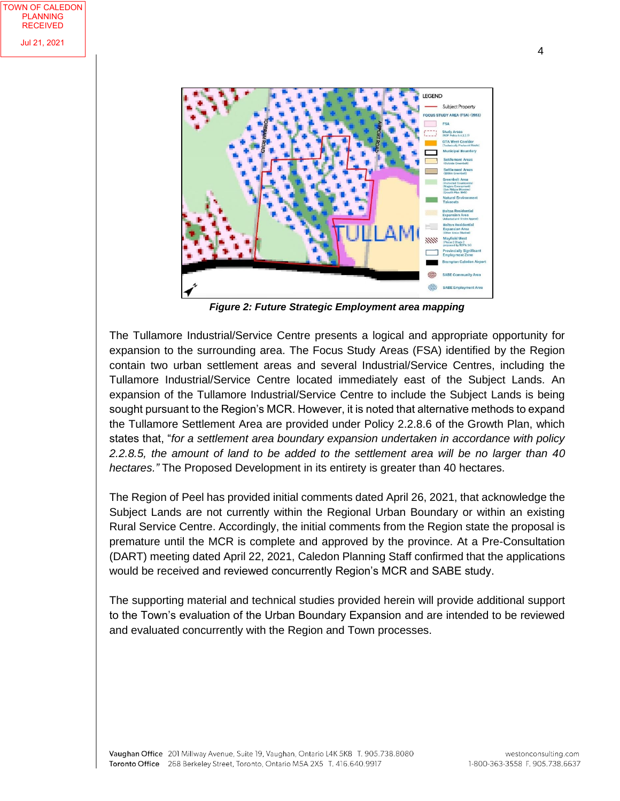

*Figure 2: Future Strategic Employment area mapping*

The Tullamore Industrial/Service Centre presents a logical and appropriate opportunity for expansion to the surrounding area. The Focus Study Areas (FSA) identified by the Region contain two urban settlement areas and several Industrial/Service Centres, including the Tullamore Industrial/Service Centre located immediately east of the Subject Lands. An expansion of the Tullamore Industrial/Service Centre to include the Subject Lands is being sought pursuant to the Region's MCR. However, it is noted that alternative methods to expand the Tullamore Settlement Area are provided under Policy 2.2.8.6 of the Growth Plan, which states that, "*for a settlement area boundary expansion undertaken in accordance with policy 2.2.8.5, the amount of land to be added to the settlement area will be no larger than 40 hectares."* The Proposed Development in its entirety is greater than 40 hectares.

The Region of Peel has provided initial comments dated April 26, 2021, that acknowledge the Subject Lands are not currently within the Regional Urban Boundary or within an existing Rural Service Centre. Accordingly, the initial comments from the Region state the proposal is premature until the MCR is complete and approved by the province. At a Pre-Consultation (DART) meeting dated April 22, 2021, Caledon Planning Staff confirmed that the applications would be received and reviewed concurrently Region's MCR and SABE study.

The supporting material and technical studies provided herein will provide additional support to the Town's evaluation of the Urban Boundary Expansion and are intended to be reviewed and evaluated concurrently with the Region and Town processes.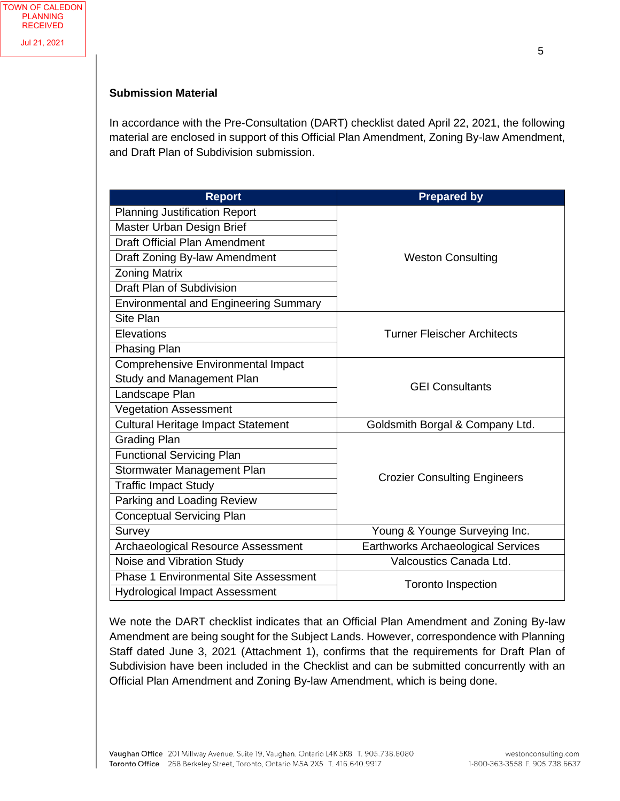#### **Submission Material**

In accordance with the Pre-Consultation (DART) checklist dated April 22, 2021, the following material are enclosed in support of this Official Plan Amendment, Zoning By-law Amendment, and Draft Plan of Subdivision submission.

| <b>Report</b>                                | <b>Prepared by</b>                  |
|----------------------------------------------|-------------------------------------|
| <b>Planning Justification Report</b>         | <b>Weston Consulting</b>            |
| Master Urban Design Brief                    |                                     |
| <b>Draft Official Plan Amendment</b>         |                                     |
| Draft Zoning By-law Amendment                |                                     |
| <b>Zoning Matrix</b>                         |                                     |
| Draft Plan of Subdivision                    |                                     |
| <b>Environmental and Engineering Summary</b> |                                     |
| Site Plan                                    | <b>Turner Fleischer Architects</b>  |
| Elevations                                   |                                     |
| Phasing Plan                                 |                                     |
| <b>Comprehensive Environmental Impact</b>    | <b>GEI Consultants</b>              |
| Study and Management Plan                    |                                     |
| Landscape Plan                               |                                     |
| <b>Vegetation Assessment</b>                 |                                     |
| <b>Cultural Heritage Impact Statement</b>    | Goldsmith Borgal & Company Ltd.     |
| <b>Grading Plan</b>                          | <b>Crozier Consulting Engineers</b> |
| <b>Functional Servicing Plan</b>             |                                     |
| Stormwater Management Plan                   |                                     |
| <b>Traffic Impact Study</b>                  |                                     |
| Parking and Loading Review                   |                                     |
| <b>Conceptual Servicing Plan</b>             |                                     |
| Survey                                       | Young & Younge Surveying Inc.       |
| Archaeological Resource Assessment           | Earthworks Archaeological Services  |
| Noise and Vibration Study                    | Valcoustics Canada Ltd.             |
| <b>Phase 1 Environmental Site Assessment</b> | <b>Toronto Inspection</b>           |
| Hydrological Impact Assessment               |                                     |

We note the DART checklist indicates that an Official Plan Amendment and Zoning By-law Amendment are being sought for the Subject Lands. However, correspondence with Planning Staff dated June 3, 2021 (Attachment 1), confirms that the requirements for Draft Plan of Subdivision have been included in the Checklist and can be submitted concurrently with an Official Plan Amendment and Zoning By-law Amendment, which is being done.